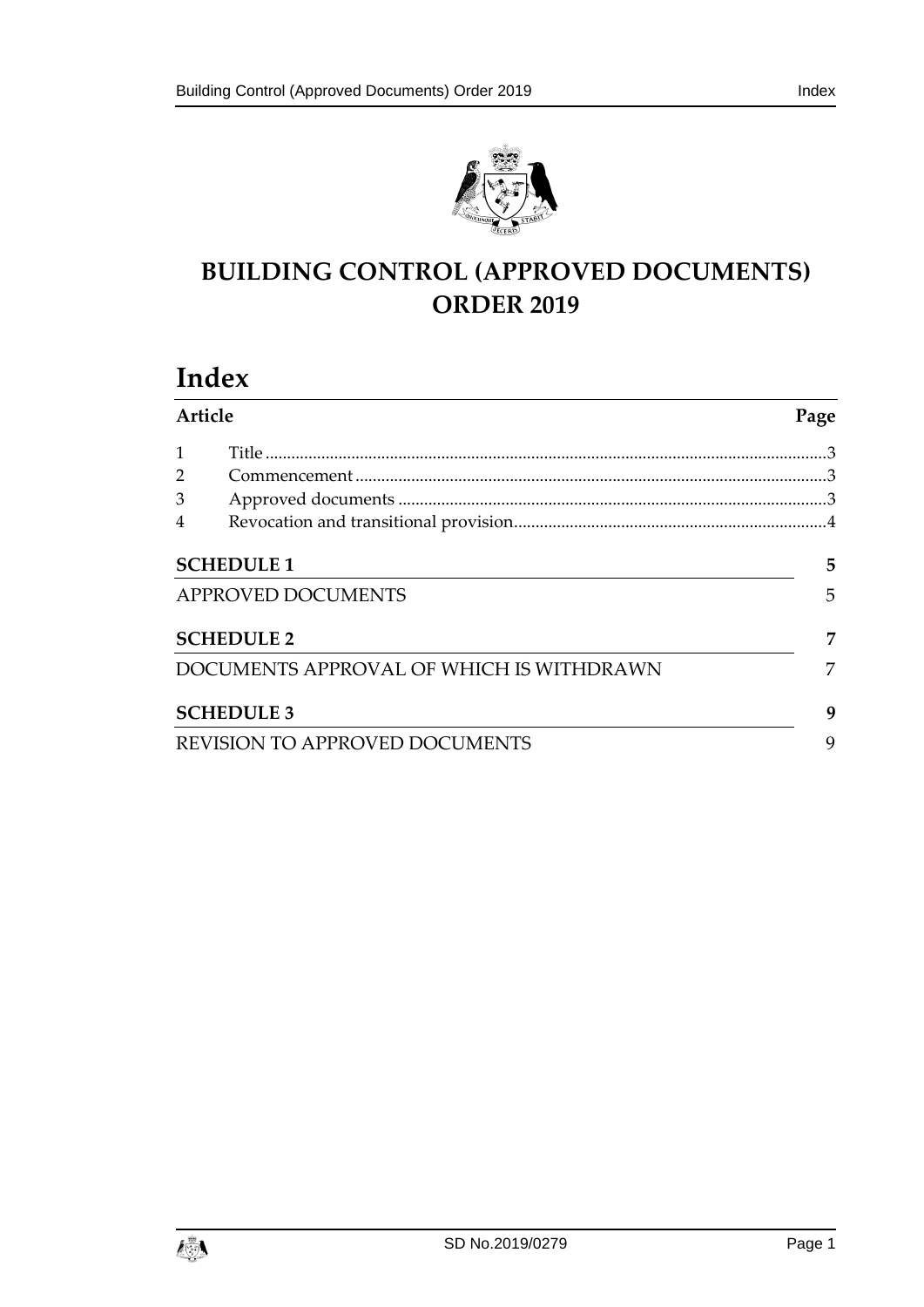

# **BUILDING CONTROL (APPROVED DOCUMENTS) ORDER 2019**

# **Index**

| Article            |                                          | Page |
|--------------------|------------------------------------------|------|
|                    |                                          |      |
| $\overline{2}$     |                                          |      |
| 3                  |                                          |      |
| $\overline{4}$     |                                          |      |
| <b>SCHEDULE 1</b>  |                                          | 5    |
| APPROVED DOCUMENTS |                                          | 5    |
| <b>SCHEDULE 2</b>  |                                          | 7    |
|                    | DOCUMENTS APPROVAL OF WHICH IS WITHDRAWN | 7    |
|                    | <b>SCHEDULE 3</b>                        | 9    |
|                    | REVISION TO APPROVED DOCUMENTS           | 9    |

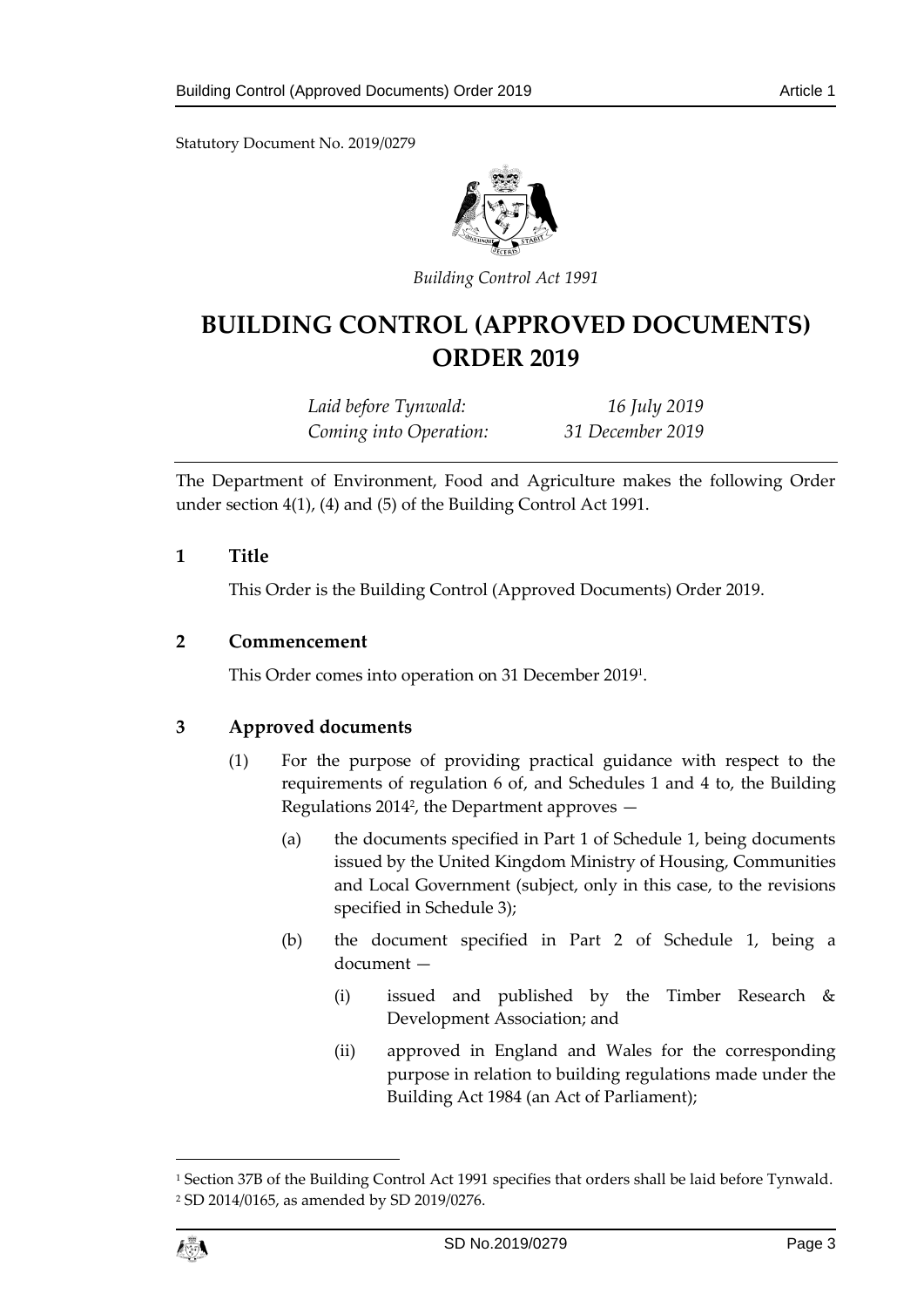Statutory Document No. 2019/0279



*Building Control Act 1991*

# **BUILDING CONTROL (APPROVED DOCUMENTS) ORDER 2019**

*Laid before Tynwald: 16 July 2019 Coming into Operation: 31 December 2019*

The Department of Environment, Food and Agriculture makes the following Order under section 4(1), (4) and (5) of the Building Control Act 1991.

## <span id="page-2-0"></span>**1 Title**

This Order is the Building Control (Approved Documents) Order 2019.

## <span id="page-2-1"></span>**2 Commencement**

This Order comes into operation on 31 December 2019<sup>1</sup> .

## <span id="page-2-2"></span>**3 Approved documents**

- (1) For the purpose of providing practical guidance with respect to the requirements of regulation 6 of, and Schedules 1 and 4 to, the Building Regulations 2014<sup>2</sup> , the Department approves —
	- (a) the documents specified in Part 1 of Schedule 1, being documents issued by the United Kingdom Ministry of Housing, Communities and Local Government (subject, only in this case, to the revisions specified in Schedule 3);
	- (b) the document specified in Part 2 of Schedule 1, being a document —
		- (i) issued and published by the Timber Research & Development Association; and
		- (ii) approved in England and Wales for the corresponding purpose in relation to building regulations made under the Building Act 1984 (an Act of Parliament);



 $\overline{a}$ 

<sup>1</sup> Section 37B of the Building Control Act 1991 specifies that orders shall be laid before Tynwald. <sup>2</sup> SD 2014/0165, as amended by SD 2019/0276.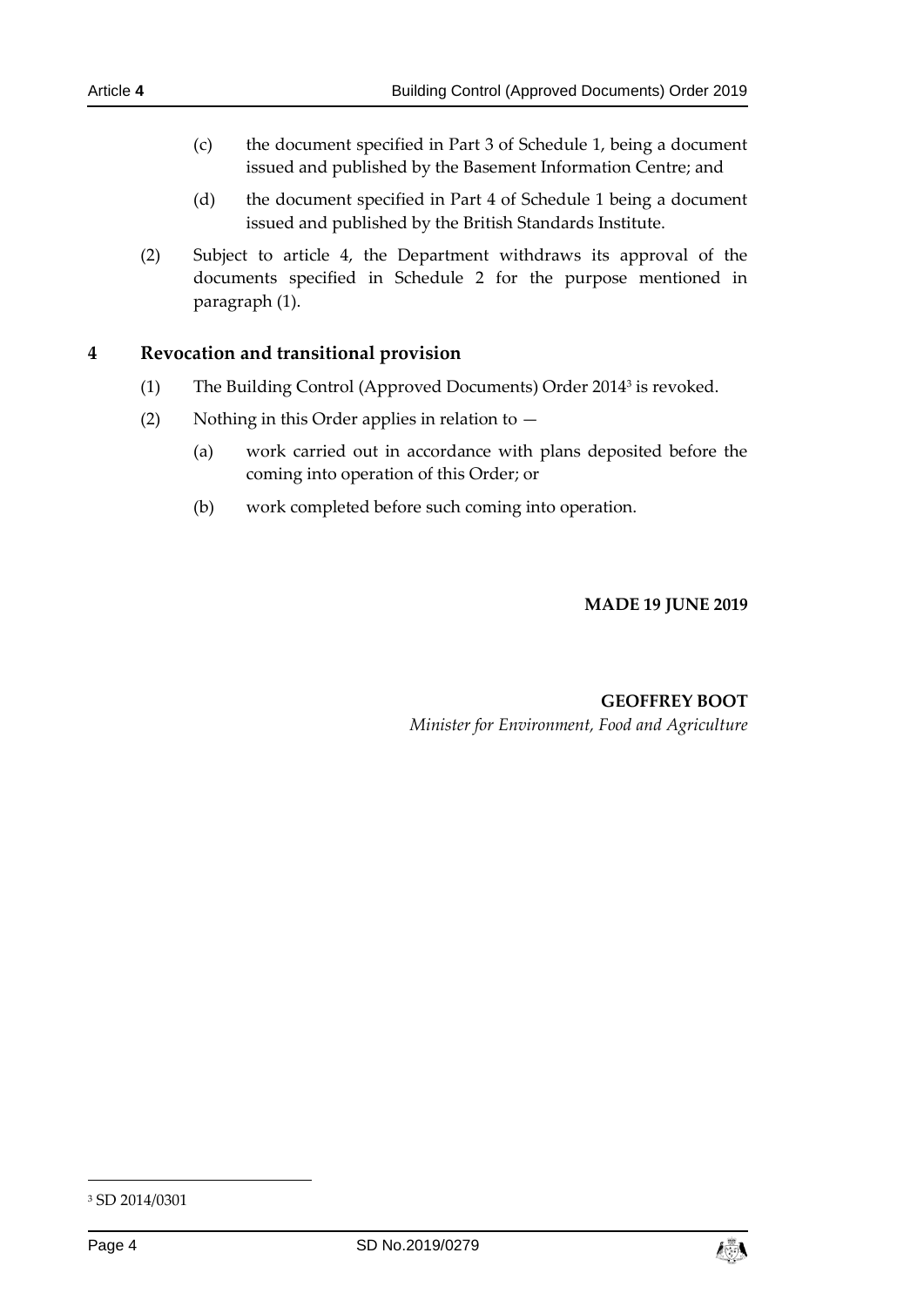- (c) the document specified in Part 3 of Schedule 1, being a document issued and published by the Basement Information Centre; and
- (d) the document specified in Part 4 of Schedule 1 being a document issued and published by the British Standards Institute.
- (2) Subject to article 4, the Department withdraws its approval of the documents specified in Schedule 2 for the purpose mentioned in paragraph (1).

## <span id="page-3-0"></span>**4 Revocation and transitional provision**

- (1) The Building Control (Approved Documents) Order 2014<sup>3</sup> is revoked.
- (2) Nothing in this Order applies in relation to
	- (a) work carried out in accordance with plans deposited before the coming into operation of this Order; or
	- (b) work completed before such coming into operation.

**MADE 19 JUNE 2019**

#### **GEOFFREY BOOT** *Minister for Environment, Food and Agriculture*

-



<sup>3</sup> SD 2014/0301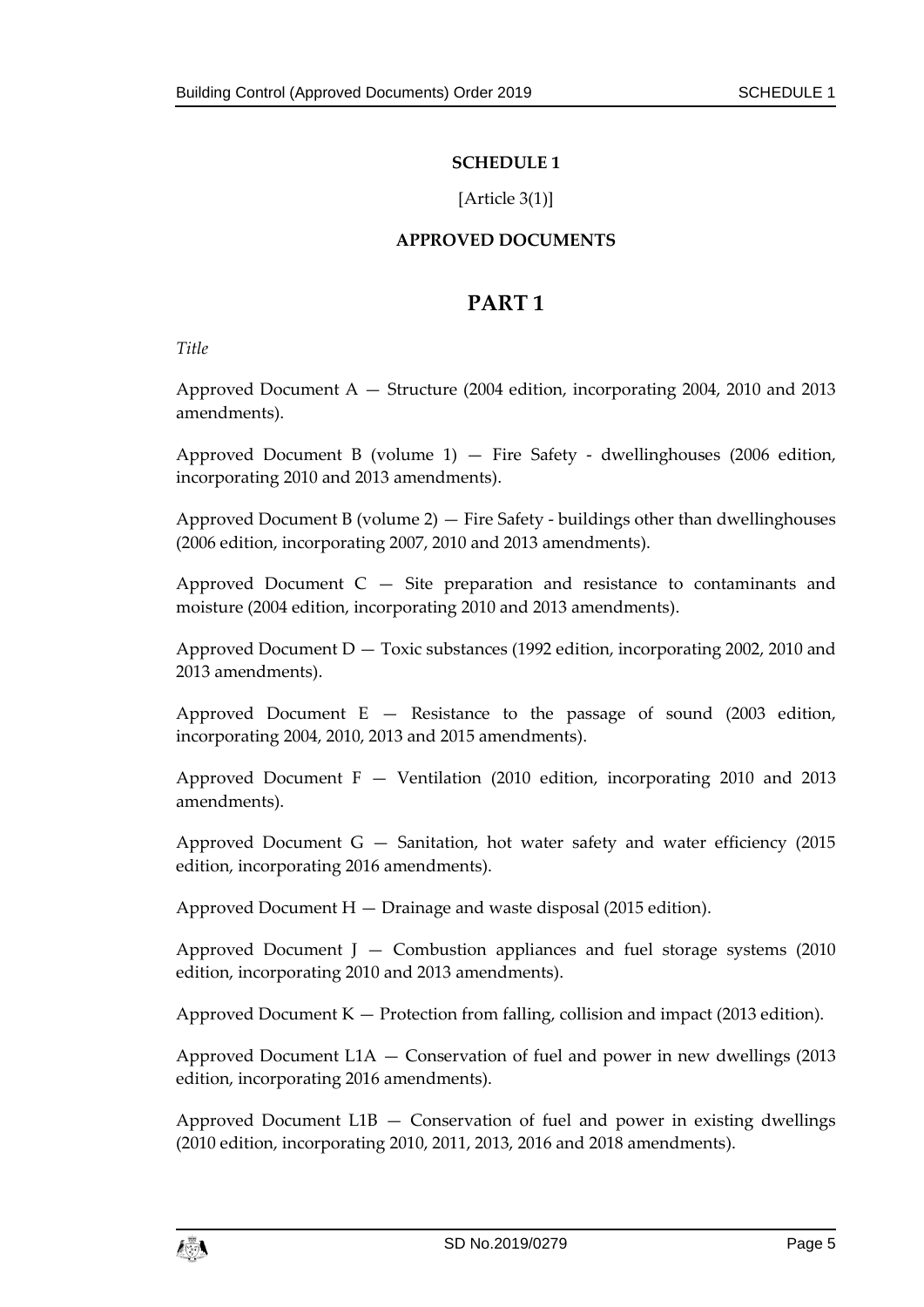## **SCHEDULE 1**

## [Article 3(1)]

## **APPROVED DOCUMENTS**

# **PART 1**

<span id="page-4-1"></span><span id="page-4-0"></span>*Title*

Approved Document A — Structure (2004 edition, incorporating 2004, 2010 and 2013 amendments).

Approved Document B (volume  $1$ )  $-$  Fire Safety - dwellinghouses (2006 edition, incorporating 2010 and 2013 amendments).

Approved Document B (volume 2) — Fire Safety - buildings other than dwellinghouses (2006 edition, incorporating 2007, 2010 and 2013 amendments).

Approved Document  $C - S$ ite preparation and resistance to contaminants and moisture (2004 edition, incorporating 2010 and 2013 amendments).

Approved Document D — Toxic substances (1992 edition, incorporating 2002, 2010 and 2013 amendments).

Approved Document  $E -$  Resistance to the passage of sound (2003 edition, incorporating 2004, 2010, 2013 and 2015 amendments).

Approved Document  $F -$  Ventilation (2010 edition, incorporating 2010 and 2013 amendments).

Approved Document  $G -$  Sanitation, hot water safety and water efficiency (2015) edition, incorporating 2016 amendments).

Approved Document  $H - D$ rainage and waste disposal (2015 edition).

Approved Document J  $-$  Combustion appliances and fuel storage systems (2010) edition, incorporating 2010 and 2013 amendments).

Approved Document  $K -$  Protection from falling, collision and impact (2013 edition).

Approved Document L1A — Conservation of fuel and power in new dwellings (2013 edition, incorporating 2016 amendments).

Approved Document  $L1B -$  Conservation of fuel and power in existing dwellings (2010 edition, incorporating 2010, 2011, 2013, 2016 and 2018 amendments).

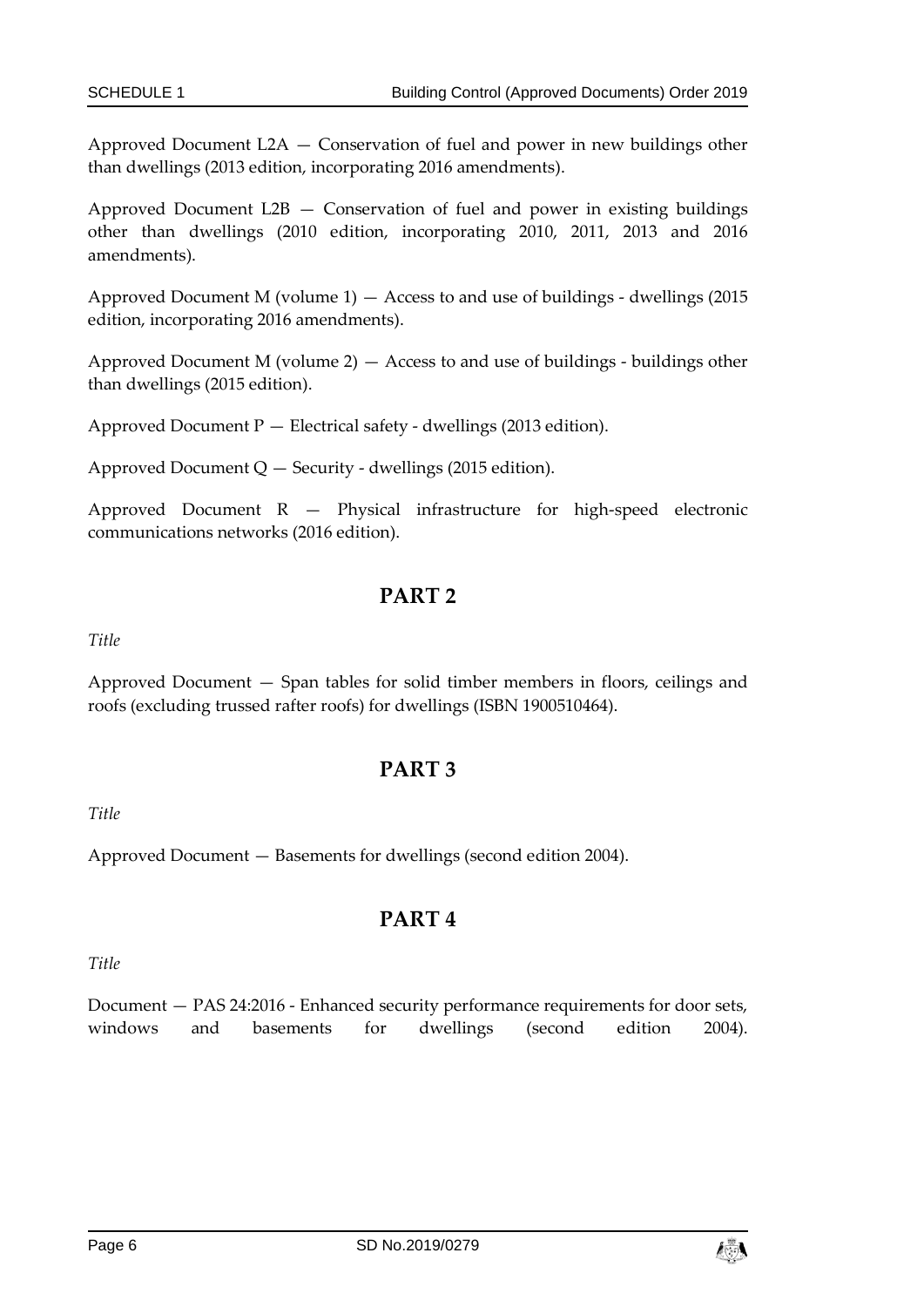Approved Document L2A — Conservation of fuel and power in new buildings other than dwellings (2013 edition, incorporating 2016 amendments).

Approved Document  $L2B -$  Conservation of fuel and power in existing buildings other than dwellings (2010 edition, incorporating 2010, 2011, 2013 and 2016 amendments).

Approved Document M (volume 1) — Access to and use of buildings - dwellings (2015 edition, incorporating 2016 amendments).

Approved Document M (volume 2) — Access to and use of buildings - buildings other than dwellings (2015 edition).

Approved Document P — Electrical safety - dwellings (2013 edition).

Approved Document  $Q$  – Security - dwellings (2015 edition).

Approved Document R — Physical infrastructure for high-speed electronic communications networks (2016 edition).

# **PART 2**

*Title*

Approved Document — Span tables for solid timber members in floors, ceilings and roofs (excluding trussed rafter roofs) for dwellings (ISBN 1900510464).

# **PART 3**

*Title*

Approved Document — Basements for dwellings (second edition 2004).

# **PART 4**

*Title*

Document — PAS 24:2016 - Enhanced security performance requirements for door sets, windows and basements for dwellings (second edition 2004).

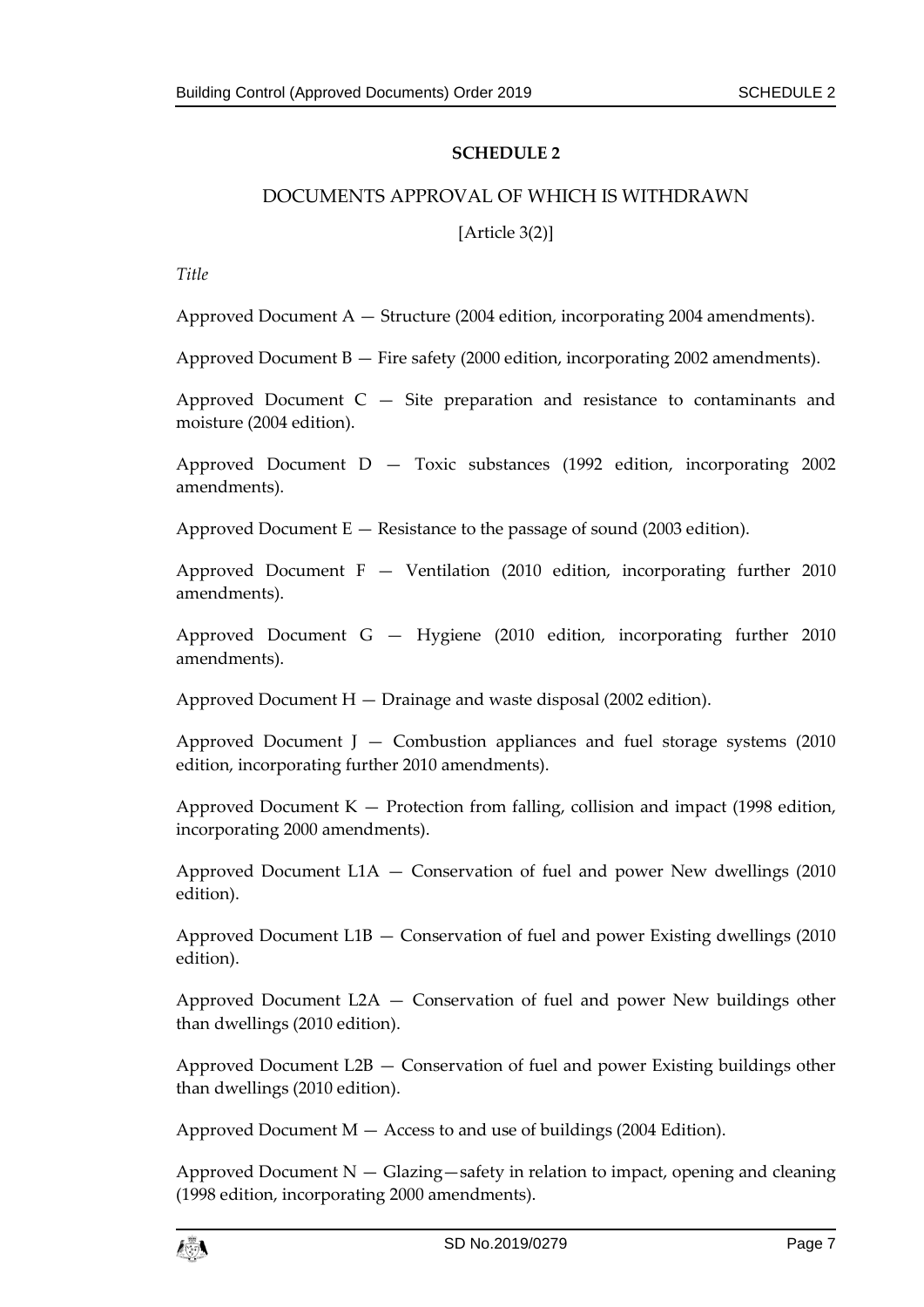## **SCHEDULE 2**

## <span id="page-6-1"></span><span id="page-6-0"></span>DOCUMENTS APPROVAL OF WHICH IS WITHDRAWN

## [Article 3(2)]

*Title*

Approved Document  $A -$  Structure (2004 edition, incorporating 2004 amendments).

Approved Document B — Fire safety (2000 edition, incorporating 2002 amendments).

Approved Document  $C - Site$  preparation and resistance to contaminants and moisture (2004 edition).

Approved Document D — Toxic substances (1992 edition, incorporating 2002 amendments).

Approved Document  $E -$  Resistance to the passage of sound (2003 edition).

Approved Document  $F -$  Ventilation (2010 edition, incorporating further 2010 amendments).

Approved Document G — Hygiene (2010 edition, incorporating further 2010 amendments).

Approved Document H — Drainage and waste disposal (2002 edition).

Approved Document  $J -$  Combustion appliances and fuel storage systems (2010) edition, incorporating further 2010 amendments).

Approved Document  $K -$  Protection from falling, collision and impact (1998 edition, incorporating 2000 amendments).

Approved Document L1A — Conservation of fuel and power New dwellings (2010 edition).

Approved Document L1B — Conservation of fuel and power Existing dwellings (2010 edition).

Approved Document L2A — Conservation of fuel and power New buildings other than dwellings (2010 edition).

Approved Document L2B — Conservation of fuel and power Existing buildings other than dwellings (2010 edition).

Approved Document  $M -$  Access to and use of buildings (2004 Edition).

Approved Document  $N -$  Glazing $-$ safety in relation to impact, opening and cleaning (1998 edition, incorporating 2000 amendments).

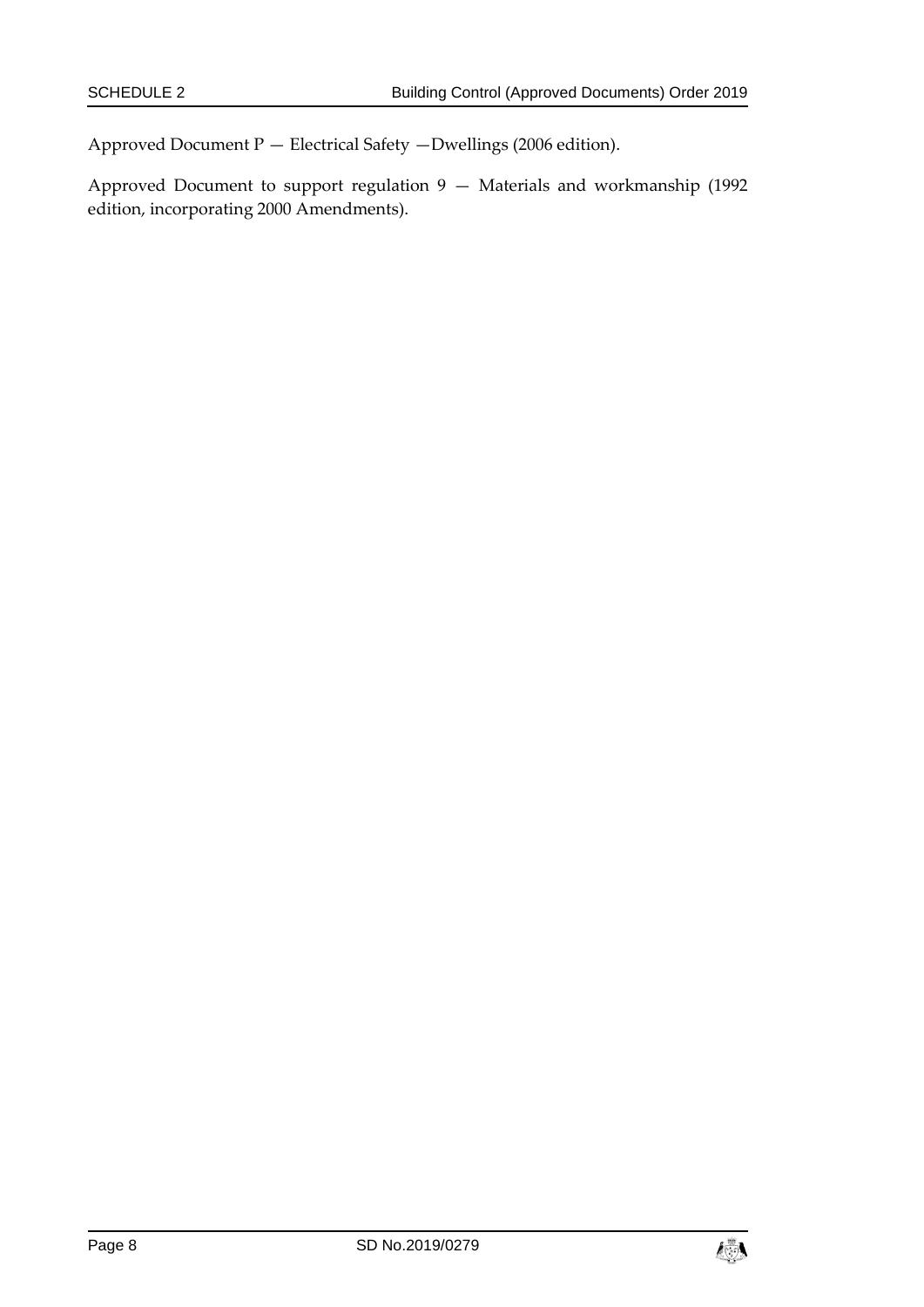Approved Document P — Electrical Safety —Dwellings (2006 edition).

Approved Document to support regulation 9 — Materials and workmanship (1992 edition, incorporating 2000 Amendments).

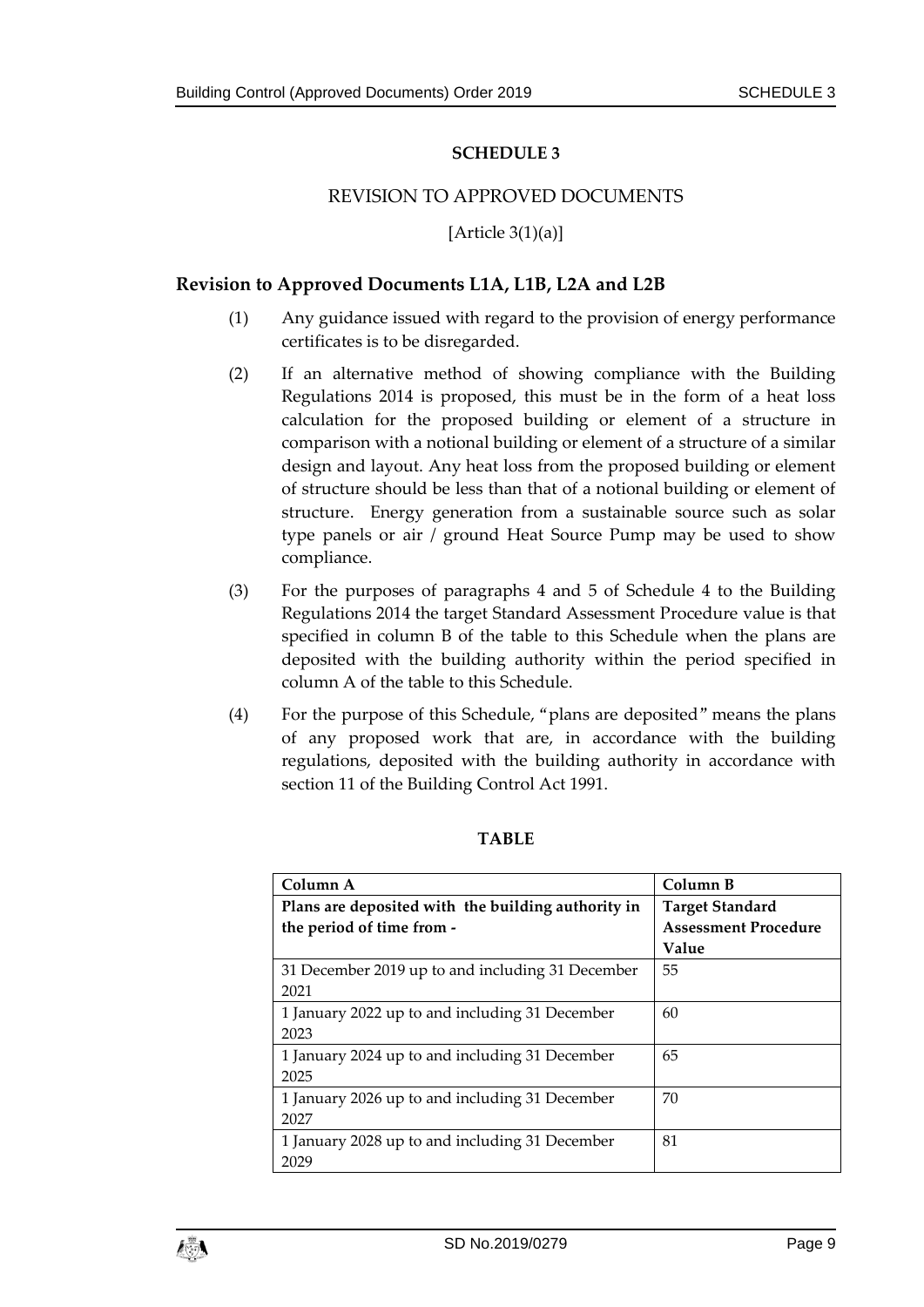## **SCHEDULE 3**

#### REVISION TO APPROVED DOCUMENTS

#### [Article  $3(1)(a)$ ]

## <span id="page-8-1"></span><span id="page-8-0"></span>**Revision to Approved Documents L1A, L1B, L2A and L2B**

- (1) Any guidance issued with regard to the provision of energy performance certificates is to be disregarded.
- (2) If an alternative method of showing compliance with the Building Regulations 2014 is proposed, this must be in the form of a heat loss calculation for the proposed building or element of a structure in comparison with a notional building or element of a structure of a similar design and layout. Any heat loss from the proposed building or element of structure should be less than that of a notional building or element of structure. Energy generation from a sustainable source such as solar type panels or air / ground Heat Source Pump may be used to show compliance.
- (3) For the purposes of paragraphs 4 and 5 of Schedule 4 to the Building Regulations 2014 the target Standard Assessment Procedure value is that specified in column B of the table to this Schedule when the plans are deposited with the building authority within the period specified in column A of the table to this Schedule.
- (4) For the purpose of this Schedule, "plans are deposited" means the plans of any proposed work that are, in accordance with the building regulations, deposited with the building authority in accordance with section 11 of the Building Control Act 1991.

| Column A                                           | Column B                    |  |
|----------------------------------------------------|-----------------------------|--|
| Plans are deposited with the building authority in | <b>Target Standard</b>      |  |
| the period of time from -                          | <b>Assessment Procedure</b> |  |
|                                                    | Value                       |  |
| 31 December 2019 up to and including 31 December   | 55                          |  |
| 2021                                               |                             |  |
| 1 January 2022 up to and including 31 December     | 60                          |  |
| 2023                                               |                             |  |
| 1 January 2024 up to and including 31 December     | 65                          |  |
| 2025                                               |                             |  |
| 1 January 2026 up to and including 31 December     | 70                          |  |
| 2027                                               |                             |  |
| 1 January 2028 up to and including 31 December     | 81                          |  |
| 2029                                               |                             |  |

#### **TABLE**

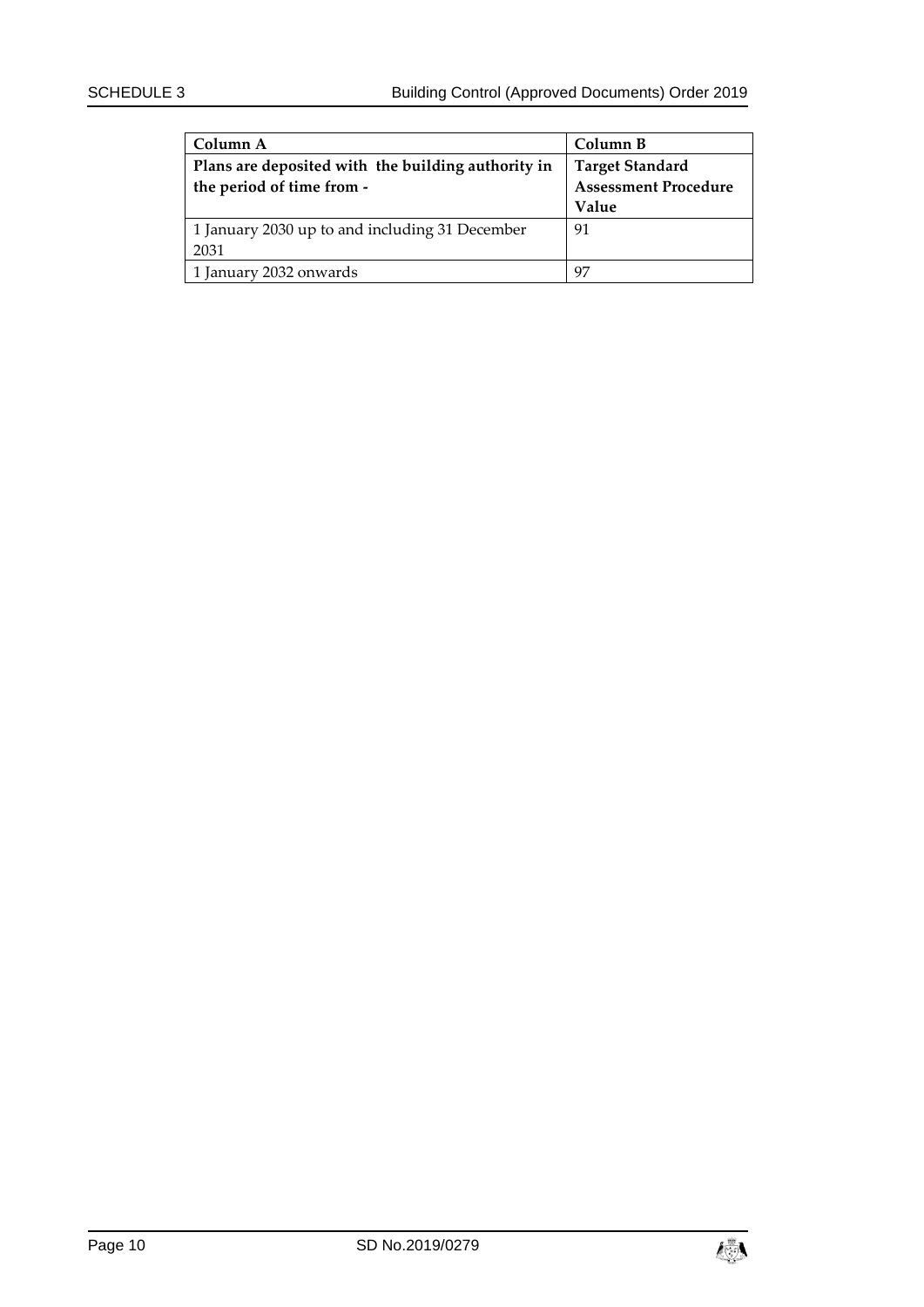| Column A                                           | Column B                    |
|----------------------------------------------------|-----------------------------|
| Plans are deposited with the building authority in | <b>Target Standard</b>      |
| the period of time from -                          | <b>Assessment Procedure</b> |
|                                                    | Value                       |
| 1 January 2030 up to and including 31 December     | 91                          |
| 2031                                               |                             |
| 1 January 2032 onwards                             | 97                          |